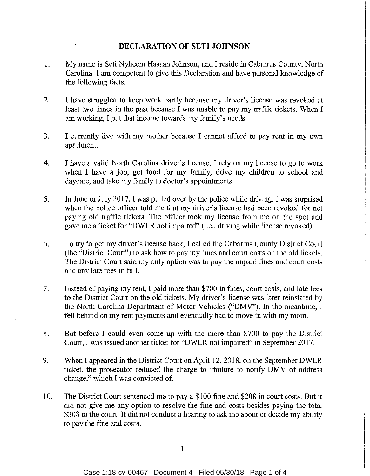## **DECLARATION OF SETI JOHNSON**

- 1. My name is Seti Nyheem Hasaan Johnson, and I reside in Cabarrus County, North Carolina. I am competent to give this Declaration and have personal knowledge of the following facts.
- 2. I have struggled to keep work partly because my driver's license was revoked at least two times in the past because I was unable to pay my traffic tickets. When I am working, I put that income towards my family's needs.
- 3. I currently live with my mother because I cannot afford to pay rent in my own apartment.
- 4. I have a valid North Carolina driver's license. I rely on my license to go to work when I have a job, get food for my family, drive my children to school and daycare, and take my family to doctor's appointments.
- 5. In June or July 2017, I was pulled over by the police while driving. I was surprised when the police officer told me that my driver's license had been revoked for not paying old traffic tickets. The officer took my license from me on the spot and gave me a ticket for "DWLR not impaired" (i.e., driving while license revoked).
- 6. To try to get my driver's license back, I called the Cabarrus County District Court (the "District Court") to ask how to pay my fines and court costs on the old tickets. The District Court said my only option was to pay the unpaid fines and court costs and any late fees in full.
- 7. Instead of paying my rent, I paid more than \$700 in fines, court costs, and late fees to the District Court on the old tickets. My driver's license was later reinstated by the North Carolina Department of Motor Vehicles ("DMV"). In the meantime, I fell behind on my rent payments and eventually had to move in with my mom.
- 8. But before I could even come up with the more than \$700 to pay the District Court, I was issued another ticket for "DWLR not impaired" in September 2017.
- 9. When I appeared in the District Court on April 12, 2018, on the September DWLR ticket, the prosecutor reduced the charge to "failure to notify DMV of address change," which I was convicted of.
- 10. The District Court sentenced me to pay a \$100 fine and \$208 in court costs. But it did not give me any option to resolve the fine and costs besides paying the total \$308 to the court. It did not conduct a hearing to ask me about or decide my ability to pay the fine and costs.

I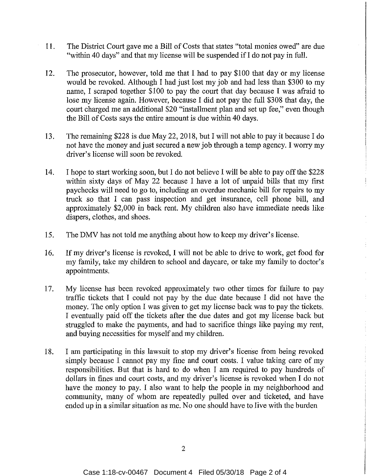- 11. The District Court gave me a Bill of Costs that states "total monies owed" are due "within 40 days" and that my license will be suspended if I do not pay in full.
- 12. The prosecutor, however, told me that I had to pay \$100 that day or my license would be revoked. Although I had just lost my job and had less than \$300 to my name, I scraped together \$100 to pay the court that day because I was afraid to lose my license again. However, because I did not pay the full \$308 that day, the court charged me an additional \$20 "installment plan and set up fee," even though the Bill of Costs says the entire amount is due within 40 days.
- 13. The remaining \$228 is due May 22, 2018, but I will not able to pay it because I do not have the money and just secured a new job through a temp agency. I worry my driver's license will soon be revoked.
- 14. I hope to start working soon, but I do not believe I will be able to pay off the \$228 within sixty days of May 22 because I have a lot of unpaid bills that my first paychecks will need to go to, including an overdue mechanic bill for repairs to my truck so that I can pass inspection and get insurance, cell phone bill, and approximately \$2,000 in back rent. My children also have immediate needs like diapers, clothes, and shoes.
- 15. The DMV has not told me anything about how to keep my driver's license.
- 16. If my driver's license is revoked, I will not be able to drive to work, get food for my family, take my children to school and daycare, or take my family to doctor's appointments.
- 17. My license has been revoked approximately two other times for failure to pay traffic tickets that I could not pay by the due date because I did not have the money. The only option I was given to get my license back was to pay the tickets. I eventually paid off the tickets after the due dates and got my license back but struggled to make the payments, and had to sacrifice things like paying my rent, and buying necessities for myself and my children.
- 18. I am participating in this lawsuit to stop my driver's license from being revoked simply because I cannot pay my fine and court costs. I value taking care of my responsibilities. But that is hard to do when I am required to pay hundreds of dollars in fines and court costs, and my driver's license is revoked when I do not have the money to pay. I also want to help the people in my neighborhood and community, many of whom are repeatedly pulled over and ticketed, and have ended up in a similar situation as me. No one should have to live with the burden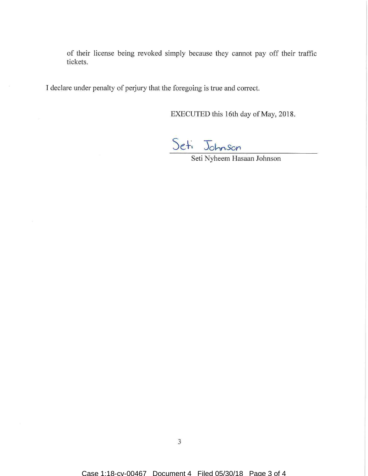of their license being revoked simply because they cannot pay off their traffic tickets.

I declare under penalty of perjury that the foregoing is true and correct.

EXECUTED this 16th day of May, 2018.

Seti Johnson

Seti Nyheem Hasaan Johnson